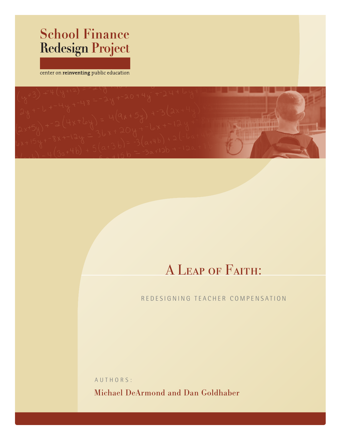# **School Finance Redesign Project**

center on reinventing public education



# A Leap of Faith:

### REDESIGNING TEACHER COMPENSATION

A U THO R S : Michael DeArmond and Dan Goldhaber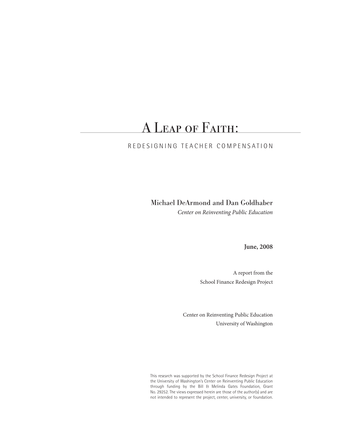## A Leap of Faith:

### RED ESIGNING TEACHER COMPENS ATION

Michael DeArmond and Dan Goldhaber *Center on Reinventing Public Education*

**June, 2008**

A report from the School Finance Redesign Project

Center on Reinventing Public Education University of Washington

This research was supported by the School Finance Redesign Project at the University of Washington's Center on Reinventing Public Education through funding by the Bill & Melinda Gates Foundation, Grant No. 29252. The views expressed herein are those of the author(s) and are not intended to represent the project, center, university, or foundation.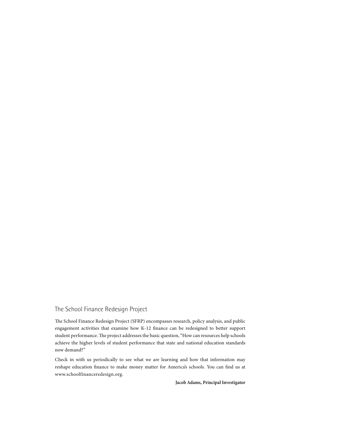### The School Finance Redesign Project

The School Finance Redesign Project (SFRP) encompasses research, policy analysis, and public engagement activities that examine how K-12 finance can be redesigned to better support student performance. The project addresses the basic question, "How can resources help schools achieve the higher levels of student performance that state and national education standards now demand?"

Check in with us periodically to see what we are learning and how that information may reshape education finance to make money matter for America's schools. You can find us at www.schoolfinanceredesign.org.

**Jacob Adams, Principal Investigator**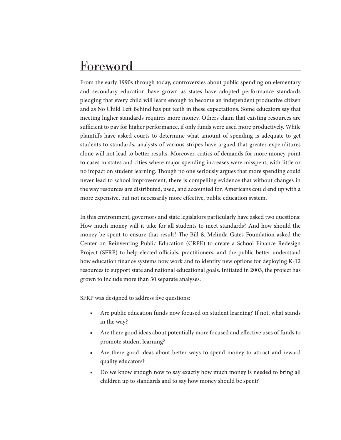## Foreword

From the early 1990s through today, controversies about public spending on elementary and secondary education have grown as states have adopted performance standards pledging that every child will learn enough to become an independent productive citizen and as No Child Left Behind has put teeth in these expectations. Some educators say that meeting higher standards requires more money. Others claim that existing resources are sufficient to pay for higher performance, if only funds were used more productively. While plaintiffs have asked courts to determine what amount of spending is adequate to get students to standards, analysts of various stripes have argued that greater expenditures alone will not lead to better results. Moreover, critics of demands for more money point to cases in states and cities where major spending increases were misspent, with little or no impact on student learning. Though no one seriously argues that more spending could never lead to school improvement, there is compelling evidence that without changes in the way resources are distributed, used, and accounted for, Americans could end up with a more expensive, but not necessarily more effective, public education system.

In this environment, governors and state legislators particularly have asked two questions: How much money will it take for all students to meet standards? And how should the money be spent to ensure that result? The Bill & Melinda Gates Foundation asked the Center on Reinventing Public Education (CRPE) to create a School Finance Redesign Project (SFRP) to help elected officials, practitioners, and the public better understand how education finance systems now work and to identify new options for deploying K-12 resources to support state and national educational goals. Initiated in 2003, the project has grown to include more than 30 separate analyses.

SFRP was designed to address five questions:

- Are public education funds now focused on student learning? If not, what stands in the way?
- Are there good ideas about potentially more focused and effective uses of funds to promote student learning?
- Are there good ideas about better ways to spend money to attract and reward quality educators?
- Do we know enough now to say exactly how much money is needed to bring all children up to standards and to say how money should be spent?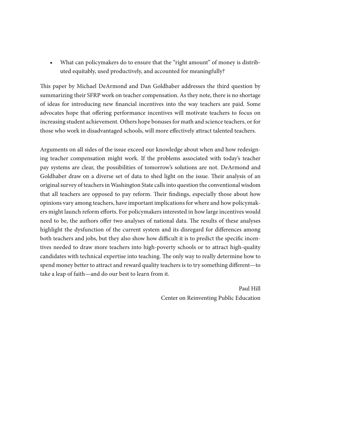■ What can policymakers do to ensure that the "right amount" of money is distributed equitably, used productively, and accounted for meaningfully?

This paper by Michael DeArmond and Dan Goldhaber addresses the third question by summarizing their SFRP work on teacher compensation. As they note, there is no shortage of ideas for introducing new financial incentives into the way teachers are paid. Some advocates hope that offering performance incentives will motivate teachers to focus on increasing student achievement. Others hope bonuses for math and science teachers, or for those who work in disadvantaged schools, will more effectively attract talented teachers.

Arguments on all sides of the issue exceed our knowledge about when and how redesigning teacher compensation might work. If the problems associated with today's teacher pay systems are clear, the possibilities of tomorrow's solutions are not. DeArmond and Goldhaber draw on a diverse set of data to shed light on the issue. Their analysis of an original survey of teachers in Washington State calls into question the conventional wisdom that all teachers are opposed to pay reform. Their findings, especially those about how opinions vary among teachers, have important implications for where and how policymakers might launch reform efforts. For policymakers interested in how large incentives would need to be, the authors offer two analyses of national data. The results of these analyses highlight the dysfunction of the current system and its disregard for differences among both teachers and jobs, but they also show how difficult it is to predict the specific incentives needed to draw more teachers into high-poverty schools or to attract high-quality candidates with technical expertise into teaching. The only way to really determine how to spend money better to attract and reward quality teachers is to try something different—to take a leap of faith—and do our best to learn from it.

> Paul Hill Center on Reinventing Public Education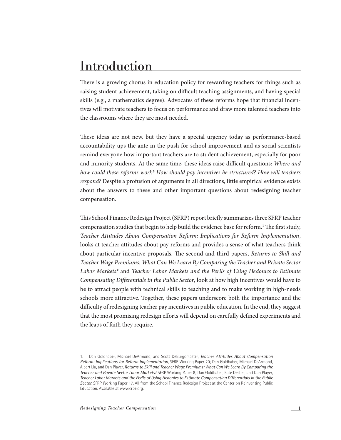## Introduction

There is a growing chorus in education policy for rewarding teachers for things such as raising student achievement, taking on difficult teaching assignments, and having special skills (e.g., a mathematics degree). Advocates of these reforms hope that financial incentives will motivate teachers to focus on performance and draw more talented teachers into the classrooms where they are most needed.

These ideas are not new, but they have a special urgency today as performance-based accountability ups the ante in the push for school improvement and as social scientists remind everyone how important teachers are to student achievement, especially for poor and minority students. At the same time, these ideas raise difficult questions: *Where and how could these reforms work? How should pay incentives be structured? How will teachers respond?* Despite a profusion of arguments in all directions, little empirical evidence exists about the answers to these and other important questions about redesigning teacher compensation.

This School Finance Redesign Project (SFRP) report briefly summarizes three SFRP teacher compensation studies that begin to help build the evidence base for reform.<sup>1</sup> The first study, *Teacher Attitudes About Compensation Reform: Implications for Reform Implementation*, looks at teacher attitudes about pay reforms and provides a sense of what teachers think about particular incentive proposals. The second and third papers, *Returns to Skill and Teacher Wage Premiums: What Can We Learn By Comparing the Teacher and Private Sector Labor Markets?* and *Teacher Labor Markets and the Perils of Using Hedonics to Estimate Compensating Differentials in the Public Sector*, look at how high incentives would have to be to attract people with technical skills to teaching and to make working in high-needs schools more attractive. Together, these papers underscore both the importance and the difficulty of redesigning teacher pay incentives in public education. In the end, they suggest that the most promising redesign efforts will depend on carefully defined experiments and the leaps of faith they require.

<sup>1.</sup> Dan Goldhaber, Michael DeArmond, and Scott DeBurgomaster, *Teacher Attitudes About Compensation Reform: Implications for Reform Implementation*, SFRP Working Paper 20; Dan Goldhaber, Michael DeArmond, Albert Liu, and Dan Player, *Returns to Skill and Teacher Wage Premiums: What Can We Learn By Comparing the Teacher and Private Sector Labor Markets?* SFRP Working Paper 8; Dan Goldhaber, Kate Destler, and Dan Player, *Teacher Labor Markets and the Perils of Using Hedonics to Estimate Compensating Differentials in the Public Sector*, SFRP Working Paper 17. All from the School Finance Redesign Project at the Center on Reinventing Public Education. Available at www.crpe.org.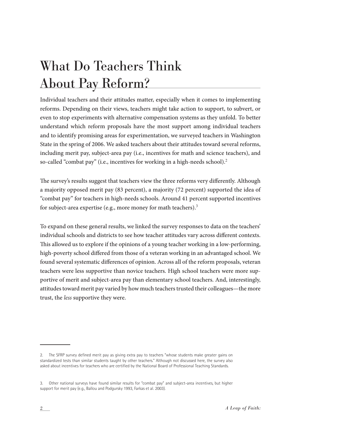# What Do Teachers Think About Pay Reform?

Individual teachers and their attitudes matter, especially when it comes to implementing reforms. Depending on their views, teachers might take action to support, to subvert, or even to stop experiments with alternative compensation systems as they unfold. To better understand which reform proposals have the most support among individual teachers and to identify promising areas for experimentation, we surveyed teachers in Washington State in the spring of 2006. We asked teachers about their attitudes toward several reforms, including merit pay, subject-area pay (i.e., incentives for math and science teachers), and so-called "combat pay" (i.e., incentives for working in a high-needs school).<sup>2</sup>

The survey's results suggest that teachers view the three reforms very differently. Although a majority opposed merit pay (83 percent), a majority (72 percent) supported the idea of "combat pay" for teachers in high-needs schools. Around 41 percent supported incentives for subject-area expertise (e.g., more money for math teachers).<sup>3</sup>

To expand on these general results, we linked the survey responses to data on the teachers' individual schools and districts to see how teacher attitudes vary across different contexts. This allowed us to explore if the opinions of a young teacher working in a low-performing, high-poverty school differed from those of a veteran working in an advantaged school. We found several systematic differences of opinion. Across all of the reform proposals, veteran teachers were less supportive than novice teachers. High school teachers were more supportive of merit and subject-area pay than elementary school teachers. And, interestingly, attitudes toward merit pay varied by how much teachers trusted their colleagues—the more trust, the *less* supportive they were.

<sup>2.</sup> The SFRP survey defined merit pay as giving extra pay to teachers "whose students make greater gains on standardized tests than similar students taught by other teachers." Although not discussed here, the survey also asked about incentives for teachers who are certified by the National Board of Professional Teaching Standards.

<sup>3.</sup> Other national surveys have found similar results for "combat pay" and subject-area incentives, but higher support for merit pay (e.g., Ballou and Podgursky 1993, Farkas et al. 2003).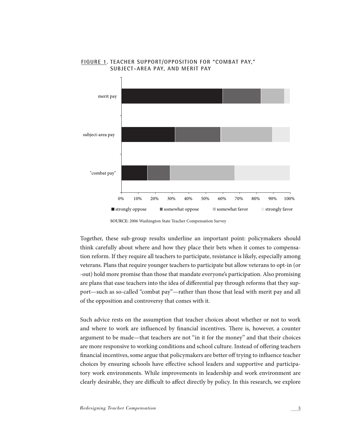

#### **Figure 1. Teacher Support/Opposition for "Combat Pay," Subject-Area Pay, and Merit Pay**

**SOURCE:** 2006 Washington State Teacher Compensation Survey

Together, these sub-group results underline an important point: policymakers should think carefully about where and how they place their bets when it comes to compensation reform. If they require all teachers to participate, resistance is likely, especially among veterans. Plans that require younger teachers to participate but allow veterans to opt-in (or -out) hold more promise than those that mandate everyone's participation. Also promising are plans that ease teachers into the idea of differential pay through reforms that they support—such as so-called "combat pay"—rather than those that lead with merit pay and all of the opposition and controversy that comes with it.

Such advice rests on the assumption that teacher choices about whether or not to work and where to work are influenced by financial incentives. There is, however, a counter argument to be made—that teachers are not "in it for the money" and that their choices are more responsive to working conditions and school culture. Instead of offering teachers financial incentives, some argue that policymakers are better off trying to influence teacher choices by ensuring schools have effective school leaders and supportive and participatory work environments. While improvements in leadership and work environment are clearly desirable, they are difficult to affect directly by policy. In this research, we explore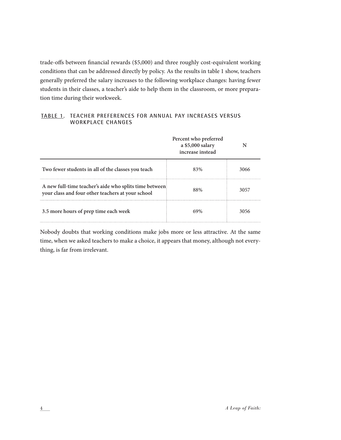trade-offs between financial rewards (\$5,000) and three roughly cost-equivalent working conditions that can be addressed directly by policy. As the results in table 1 show, teachers generally preferred the salary increases to the following workplace changes: having fewer students in their classes, a teacher's aide to help them in the classroom, or more preparation time during their workweek.

| TABLE 1. TEACHER PREFERENCES FOR ANNUAL PAY INCREASES VERSUS |  |  |  |
|--------------------------------------------------------------|--|--|--|
| WORKPLACE CHANGES                                            |  |  |  |

|                                                                                                             | Percent who preferred<br>a \$5,000 salary<br>increase instead |      |
|-------------------------------------------------------------------------------------------------------------|---------------------------------------------------------------|------|
| Two fewer students in all of the classes you teach                                                          | 83%                                                           | 3066 |
| A new full-time teacher's aide who splits time between<br>your class and four other teachers at your school | 88%                                                           | 3057 |
| 3.5 more hours of prep time each week                                                                       |                                                               | 3056 |

Nobody doubts that working conditions make jobs more or less attractive. At the same time, when we asked teachers to make a choice, it appears that money, although not everything, is far from irrelevant.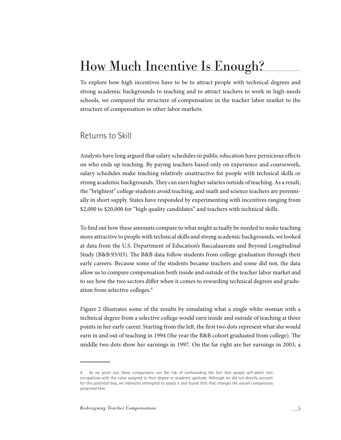## How Much Incentive Is Enough?

To explore how high incentives have to be to attract people with technical degrees and strong academic backgrounds to teaching and to attract teachers to work in high-needs schools, we compared the structure of compensation in the teacher labor market to the structure of compensation in other labor markets.

### Returns to Skill

Analysts have long argued that salary schedules in public education have pernicious effects on who ends up teaching. By paying teachers based only on experience and coursework, salary schedules make teaching relatively unattractive for people with technical skills or strong academic backgrounds. They can earn higher salaries outside of teaching. As a result, the "brightest" college students avoid teaching, and math and science teachers are perennially in short supply. States have responded by experimenting with incentives ranging from \$2,000 to \$20,000 for "high quality candidates" and teachers with technical skills.

To find out how these amounts compare to what might actually be needed to make teaching more attractive to people with technical skills and strong academic backgrounds, we looked at data from the U.S. Department of Education's Baccalaureate and Beyond Longitudinal Study (B&B:93/03). The B&B data follow students from college graduation through their early careers. Because some of the students became teachers and some did not, the data allow us to compare compensation both inside and outside of the teacher labor market and to see how the two sectors differ when it comes to rewarding technical degrees and graduation from selective colleges.<sup>4</sup>

Figure 2 illustrates some of the results by simulating what a single white woman with a technical degree from a selective college would earn inside and outside of teaching at three points in her early career. Starting from the left, the first two dots represent what she would earn in and out of teaching in 1994 (the year the B&B cohort graduated from college). The middle two dots show her earnings in 1997. On the far right are her earnings in 2003, a

<sup>4.</sup> As we point out, these comparisons run the risk of confounding the fact that people self-select into occupations with the value assigned to their degree or academic aptitude. Although we did not directly account for this potential bias, we indirectly attempted to assess it and found little that changes the overall comparisons presented here.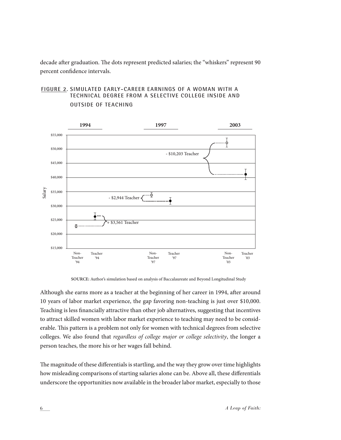decade after graduation. The dots represent predicted salaries; the "whiskers" represent 90 percent confidence intervals.

#### **Figure 2. Simulated Early-Career Earnings of a Woman With a Technical Degree From a Selective College Inside and Outside of Teaching**



 **SOURCE:** Author's simulation based on analysis of Baccalaureate and Beyond Longitudinal Study

Although she earns more as a teacher at the beginning of her career in 1994, after around 10 years of labor market experience, the gap favoring non-teaching is just over \$10,000. Teaching is less financially attractive than other job alternatives, suggesting that incentives to attract skilled women with labor market experience to teaching may need to be considerable. This pattern is a problem not only for women with technical degrees from selective colleges. We also found that *regardless of college major or college selectivity*, the longer a person teaches, the more his or her wages fall behind.

The magnitude of these differentials is startling, and the way they grow over time highlights how misleading comparisons of starting salaries alone can be. Above all, these differentials underscore the opportunities now available in the broader labor market, especially to those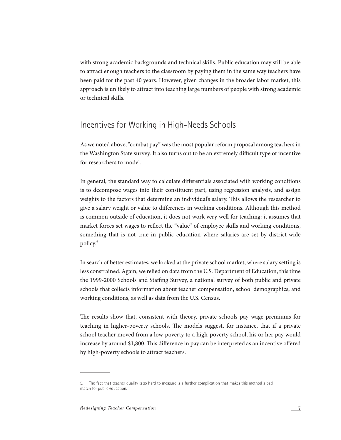with strong academic backgrounds and technical skills. Public education may still be able to attract enough teachers to the classroom by paying them in the same way teachers have been paid for the past 40 years. However, given changes in the broader labor market, this approach is unlikely to attract into teaching large numbers of people with strong academic or technical skills.

## Incentives for Working in High-Needs Schools

As we noted above, "combat pay" was the most popular reform proposal among teachers in the Washington State survey. It also turns out to be an extremely difficult type of incentive for researchers to model.

In general, the standard way to calculate differentials associated with working conditions is to decompose wages into their constituent part, using regression analysis, and assign weights to the factors that determine an individual's salary. This allows the researcher to give a salary weight or value to differences in working conditions. Although this method is common outside of education, it does not work very well for teaching: it assumes that market forces set wages to reflect the "value" of employee skills and working conditions, something that is not true in public education where salaries are set by district-wide policy.<sup>5</sup>

In search of better estimates, we looked at the private school market, where salary setting is less constrained. Again, we relied on data from the U.S. Department of Education, this time the 1999-2000 Schools and Staffing Survey, a national survey of both public and private schools that collects information about teacher compensation, school demographics, and working conditions, as well as data from the U.S. Census.

The results show that, consistent with theory, private schools pay wage premiums for teaching in higher-poverty schools. The models suggest, for instance, that if a private school teacher moved from a low-poverty to a high-poverty school, his or her pay would increase by around \$1,800. This difference in pay can be interpreted as an incentive offered by high-poverty schools to attract teachers.

<sup>5.</sup> The fact that teacher quality is so hard to measure is a further complication that makes this method a bad match for public education.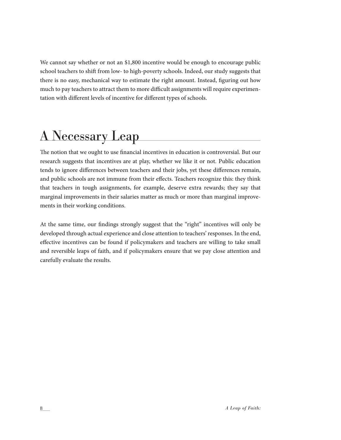We cannot say whether or not an \$1,800 incentive would be enough to encourage public school teachers to shift from low- to high-poverty schools. Indeed, our study suggests that there is no easy, mechanical way to estimate the right amount. Instead, figuring out how much to pay teachers to attract them to more difficult assignments will require experimentation with different levels of incentive for different types of schools.

# A Necessary Leap

The notion that we ought to use financial incentives in education is controversial. But our research suggests that incentives are at play, whether we like it or not. Public education tends to ignore differences between teachers and their jobs, yet these differences remain, and public schools are not immune from their effects. Teachers recognize this: they think that teachers in tough assignments, for example, deserve extra rewards; they say that marginal improvements in their salaries matter as much or more than marginal improvements in their working conditions.

At the same time, our findings strongly suggest that the "right" incentives will only be developed through actual experience and close attention to teachers' responses. In the end, effective incentives can be found if policymakers and teachers are willing to take small and reversible leaps of faith, and if policymakers ensure that we pay close attention and carefully evaluate the results.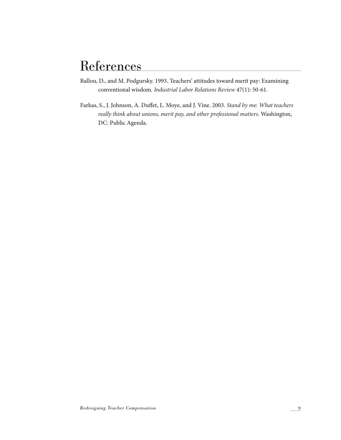## **References**

- Ballou, D., and M. Podgursky. 1993. Teachers' attitudes toward merit pay: Examining conventional wisdom. *Industrial Labor Relations Review* 47(1): 50-61.
- Farkas, S., J. Johnson, A. Duffet, L. Moye, and J. Vine. 2003. *Stand by me: What teachers really think about unions, merit pay, and other professional matters*. Washington, DC: Public Agenda.